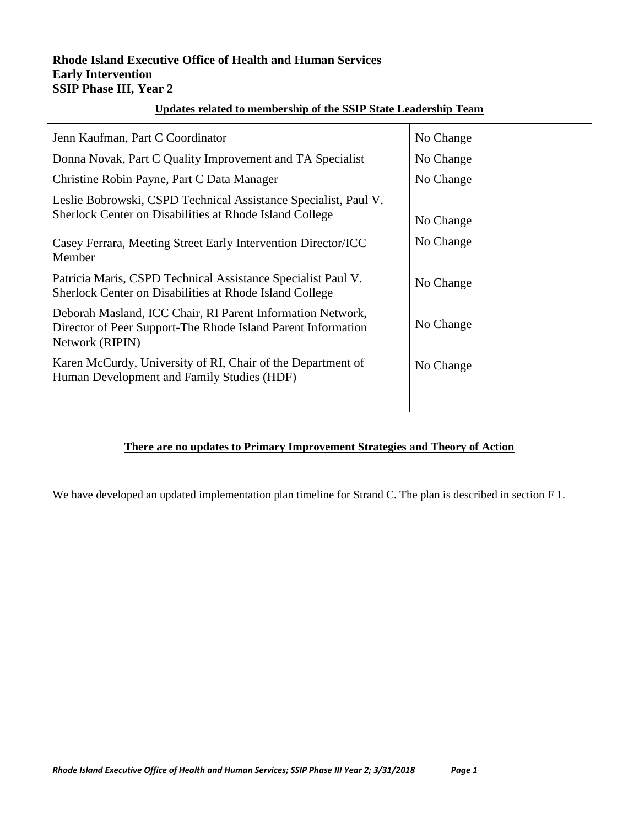#### **Rhode Island Executive Office of Health and Human Services Early Intervention SSIP Phase III, Year 2**

#### **Updates related to membership of the SSIP State Leadership Team**

| Jenn Kaufman, Part C Coordinator                                                                                                              | No Change |
|-----------------------------------------------------------------------------------------------------------------------------------------------|-----------|
| Donna Novak, Part C Quality Improvement and TA Specialist                                                                                     | No Change |
| Christine Robin Payne, Part C Data Manager                                                                                                    | No Change |
| Leslie Bobrowski, CSPD Technical Assistance Specialist, Paul V.<br>Sherlock Center on Disabilities at Rhode Island College                    | No Change |
| Casey Ferrara, Meeting Street Early Intervention Director/ICC<br>Member                                                                       | No Change |
| Patricia Maris, CSPD Technical Assistance Specialist Paul V.<br>Sherlock Center on Disabilities at Rhode Island College                       | No Change |
| Deborah Masland, ICC Chair, RI Parent Information Network,<br>Director of Peer Support-The Rhode Island Parent Information<br>Network (RIPIN) | No Change |
| Karen McCurdy, University of RI, Chair of the Department of<br>Human Development and Family Studies (HDF)                                     | No Change |
|                                                                                                                                               |           |

#### **There are no updates to Primary Improvement Strategies and Theory of Action**

We have developed an updated implementation plan timeline for Strand C. The plan is described in section F 1.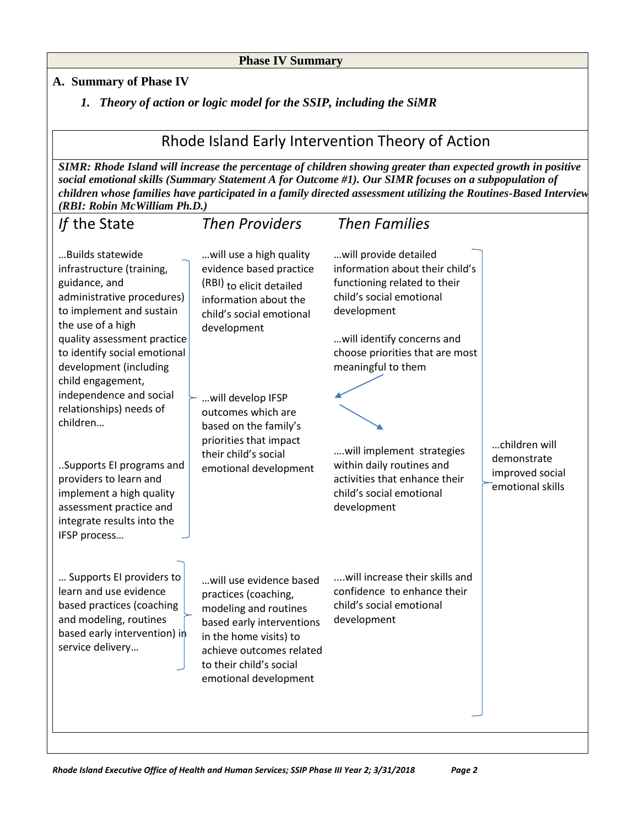#### **Phase IV Summary**

### **A. Summary of Phase IV**

*1. Theory of action or logic model for the SSIP, including the SiMR*

# Rhode Island Early Intervention Theory of Action

*SIMR: Rhode Island will increase the percentage of children showing greater than expected growth in positive social emotional skills (Summary Statement A for Outcome #1). Our SIMR focuses on a subpopulation of children whose families have participated in a family directed assessment utilizing the Routines-Based Interview (RBI: Robin McWilliam Ph.D.)*

| If the State                                                                                                                                                                                                                                                                                                                                                                                                                                                                             | <b>Then Providers</b>                                                                                                                                                                                                                                                                             | <b>Then Families</b>                                                                                                                                                                                                                                                                                                                                             |                                                                     |
|------------------------------------------------------------------------------------------------------------------------------------------------------------------------------------------------------------------------------------------------------------------------------------------------------------------------------------------------------------------------------------------------------------------------------------------------------------------------------------------|---------------------------------------------------------------------------------------------------------------------------------------------------------------------------------------------------------------------------------------------------------------------------------------------------|------------------------------------------------------------------------------------------------------------------------------------------------------------------------------------------------------------------------------------------------------------------------------------------------------------------------------------------------------------------|---------------------------------------------------------------------|
| Builds statewide<br>infrastructure (training,<br>guidance, and<br>administrative procedures)<br>to implement and sustain<br>the use of a high<br>quality assessment practice<br>to identify social emotional<br>development (including<br>child engagement,<br>independence and social<br>relationships) needs of<br>children<br>Supports El programs and<br>providers to learn and<br>implement a high quality<br>assessment practice and<br>integrate results into the<br>IFSP process | will use a high quality<br>evidence based practice<br>(RBI) to elicit detailed<br>information about the<br>child's social emotional<br>development<br>will develop IFSP<br>outcomes which are<br>based on the family's<br>priorities that impact<br>their child's social<br>emotional development | will provide detailed<br>information about their child's<br>functioning related to their<br>child's social emotional<br>development<br>will identify concerns and<br>choose priorities that are most<br>meaningful to them<br>will implement strategies<br>within daily routines and<br>activities that enhance their<br>child's social emotional<br>development | children will<br>demonstrate<br>improved social<br>emotional skills |
| Supports El providers to<br>learn and use evidence<br>based practices (coaching<br>and modeling, routines<br>based early intervention) in<br>service delivery                                                                                                                                                                                                                                                                                                                            | will use evidence based<br>practices (coaching,<br>modeling and routines<br>based early interventions<br>in the home visits) to<br>achieve outcomes related<br>to their child's social<br>emotional development                                                                                   | will increase their skills and<br>confidence to enhance their<br>child's social emotional<br>development                                                                                                                                                                                                                                                         |                                                                     |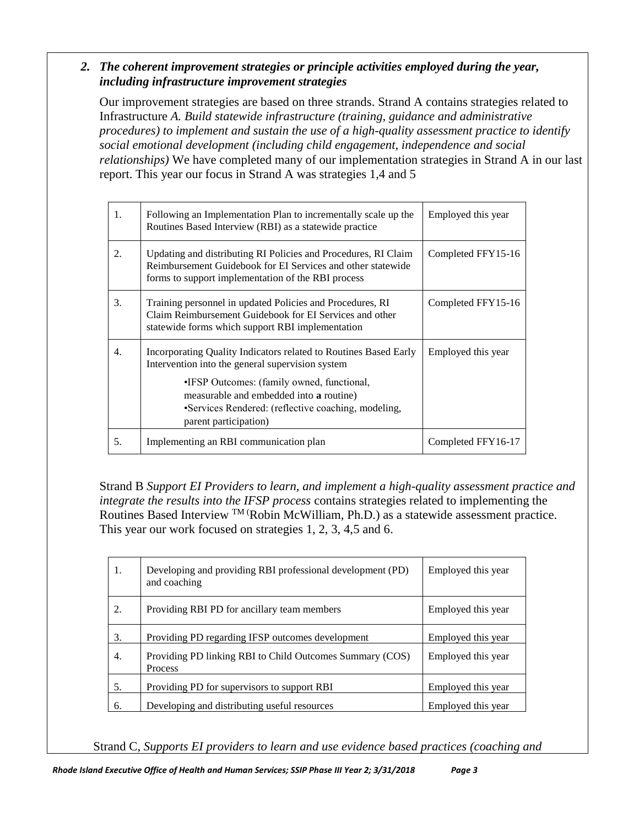### *2. The coherent improvement strategies or principle activities employed during the year, including infrastructure improvement strategies*

Our improvement strategies are based on three strands. Strand A contains strategies related to Infrastructure *A. Build statewide infrastructure (training, guidance and administrative procedures) to implement and sustain the use of a high-quality assessment practice to identify social emotional development (including child engagement, independence and social relationships)* We have completed many of our implementation strategies in Strand A in our last report. This year our focus in Strand A was strategies 1,4 and 5

| 1. | Following an Implementation Plan to incrementally scale up the<br>Routines Based Interview (RBI) as a statewide practice                                                                                                                                                                             | Employed this year |
|----|------------------------------------------------------------------------------------------------------------------------------------------------------------------------------------------------------------------------------------------------------------------------------------------------------|--------------------|
| 2. | Updating and distributing RI Policies and Procedures, RI Claim<br>Reimbursement Guidebook for EI Services and other statewide<br>forms to support implementation of the RBI process                                                                                                                  | Completed FFY15-16 |
| 3. | Training personnel in updated Policies and Procedures, RI<br>Claim Reimbursement Guidebook for EI Services and other<br>statewide forms which support RBI implementation                                                                                                                             | Completed FFY15-16 |
| 4. | Incorporating Quality Indicators related to Routines Based Early<br>Intervention into the general supervision system<br>•IFSP Outcomes: (family owned, functional,<br>measurable and embedded into <b>a</b> routine)<br>•Services Rendered: (reflective coaching, modeling,<br>parent participation) | Employed this year |
| 5. | Implementing an RBI communication plan                                                                                                                                                                                                                                                               | Completed FFY16-17 |

Strand B *Support EI Providers to learn, and implement a high-quality assessment practice and integrate the results into the IFSP process* contains strategies related to implementing the Routines Based Interview TM (Robin McWilliam, Ph.D.) as a statewide assessment practice. This year our work focused on strategies 1, 2, 3, 4,5 and 6.

| 1. | Developing and providing RBI professional development (PD)<br>and coaching | Employed this year |
|----|----------------------------------------------------------------------------|--------------------|
| 2. | Providing RBI PD for ancillary team members                                | Employed this year |
| 3. | Providing PD regarding IFSP outcomes development                           | Employed this year |
| 4. | Providing PD linking RBI to Child Outcomes Summary (COS)<br>Process        | Employed this year |
| 5. | Providing PD for supervisors to support RBI                                | Employed this year |
| 6. | Developing and distributing useful resources                               | Employed this year |

Strand C, *Supports EI providers to learn and use evidence based practices (coaching and*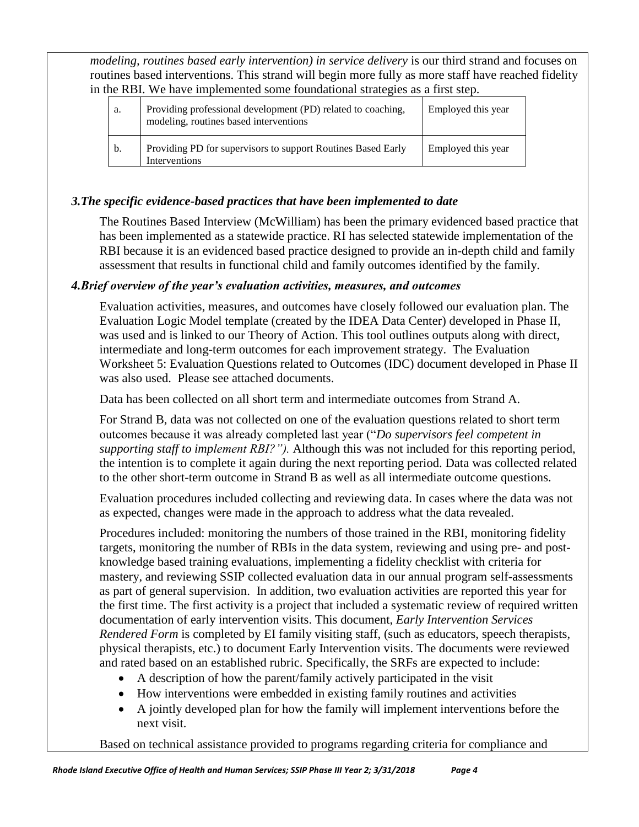*modeling, routines based early intervention) in service delivery* is our third strand and focuses on routines based interventions. This strand will begin more fully as more staff have reached fidelity in the RBI. We have implemented some foundational strategies as a first step.

| a. | Providing professional development (PD) related to coaching,<br>modeling, routines based interventions | Employed this year |
|----|--------------------------------------------------------------------------------------------------------|--------------------|
| b. | Providing PD for supervisors to support Routines Based Early<br>Interventions                          | Employed this year |

### *3.The specific evidence-based practices that have been implemented to date*

The Routines Based Interview (McWilliam) has been the primary evidenced based practice that has been implemented as a statewide practice. RI has selected statewide implementation of the RBI because it is an evidenced based practice designed to provide an in-depth child and family assessment that results in functional child and family outcomes identified by the family.

### *4.Brief overview of the year's evaluation activities, measures, and outcomes*

Evaluation activities, measures, and outcomes have closely followed our evaluation plan. The Evaluation Logic Model template (created by the IDEA Data Center) developed in Phase II, was used and is linked to our Theory of Action. This tool outlines outputs along with direct, intermediate and long-term outcomes for each improvement strategy. The Evaluation Worksheet 5: Evaluation Questions related to Outcomes (IDC) document developed in Phase II was also used. Please see attached documents.

Data has been collected on all short term and intermediate outcomes from Strand A.

For Strand B, data was not collected on one of the evaluation questions related to short term outcomes because it was already completed last year ("*Do supervisors feel competent in supporting staff to implement RBI?").* Although this was not included for this reporting period, the intention is to complete it again during the next reporting period. Data was collected related to the other short-term outcome in Strand B as well as all intermediate outcome questions.

Evaluation procedures included collecting and reviewing data. In cases where the data was not as expected, changes were made in the approach to address what the data revealed.

Procedures included: monitoring the numbers of those trained in the RBI, monitoring fidelity targets, monitoring the number of RBIs in the data system, reviewing and using pre- and postknowledge based training evaluations, implementing a fidelity checklist with criteria for mastery, and reviewing SSIP collected evaluation data in our annual program self-assessments as part of general supervision. In addition, two evaluation activities are reported this year for the first time. The first activity is a project that included a systematic review of required written documentation of early intervention visits. This document, *Early Intervention Services Rendered Form* is completed by EI family visiting staff, (such as educators, speech therapists, physical therapists, etc.) to document Early Intervention visits. The documents were reviewed and rated based on an established rubric. Specifically, the SRFs are expected to include:

- A description of how the parent/family actively participated in the visit
- How interventions were embedded in existing family routines and activities
- A jointly developed plan for how the family will implement interventions before the next visit.

Based on technical assistance provided to programs regarding criteria for compliance and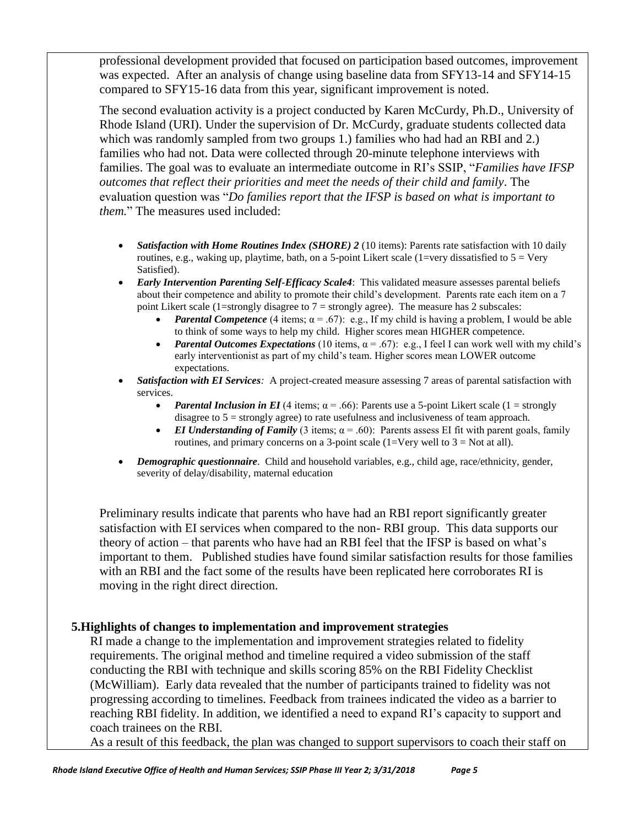professional development provided that focused on participation based outcomes, improvement was expected. After an analysis of change using baseline data from SFY13-14 and SFY14-15 compared to SFY15-16 data from this year, significant improvement is noted.

The second evaluation activity is a project conducted by Karen McCurdy, Ph.D., University of Rhode Island (URI). Under the supervision of Dr. McCurdy, graduate students collected data which was randomly sampled from two groups 1.) families who had had an RBI and 2.) families who had not. Data were collected through 20-minute telephone interviews with families. The goal was to evaluate an intermediate outcome in RI's SSIP, "*Families have IFSP outcomes that reflect their priorities and meet the needs of their child and family*. The evaluation question was "*Do families report that the IFSP is based on what is important to them.*" The measures used included:

- *Satisfaction with Home Routines Index (SHORE) 2* (10 items): Parents rate satisfaction with 10 daily routines, e.g., waking up, playtime, bath, on a 5-point Likert scale (1=very dissatisfied to  $5 = V$ ery Satisfied).
- *Early Intervention Parenting Self-Efficacy Scale4*: This validated measure assesses parental beliefs about their competence and ability to promote their child's development. Parents rate each item on a 7 point Likert scale (1=strongly disagree to  $7 =$  strongly agree). The measure has 2 subscales:
	- *Parental Competence* (4 items;  $\alpha = .67$ ): e.g., If my child is having a problem, I would be able to think of some ways to help my child. Higher scores mean HIGHER competence.
	- *Parental Outcomes Expectations* (10 items,  $\alpha = .67$ ): e.g., I feel I can work well with my child's early interventionist as part of my child's team. Higher scores mean LOWER outcome expectations.
- *Satisfaction with EI Services:* A project-created measure assessing 7 areas of parental satisfaction with services.
	- *Parental Inclusion in EI* (4 items;  $\alpha$  = .66): Parents use a 5-point Likert scale (1 = strongly disagree to 5 = strongly agree) to rate usefulness and inclusiveness of team approach.
	- *EI Understanding of Family* (3 items;  $\alpha = .60$ ): Parents assess EI fit with parent goals, family routines, and primary concerns on a 3-point scale (1=Very well to  $3 = Not$  at all).
- *Demographic questionnaire*. Child and household variables, e.g., child age, race/ethnicity, gender, severity of delay/disability, maternal education

Preliminary results indicate that parents who have had an RBI report significantly greater satisfaction with EI services when compared to the non- RBI group. This data supports our theory of action – that parents who have had an RBI feel that the IFSP is based on what's important to them. Published studies have found similar satisfaction results for those families with an RBI and the fact some of the results have been replicated here corroborates RI is moving in the right direct direction.

### **5.Highlights of changes to implementation and improvement strategies**

RI made a change to the implementation and improvement strategies related to fidelity requirements. The original method and timeline required a video submission of the staff conducting the RBI with technique and skills scoring 85% on the RBI Fidelity Checklist (McWilliam). Early data revealed that the number of participants trained to fidelity was not progressing according to timelines. Feedback from trainees indicated the video as a barrier to reaching RBI fidelity. In addition, we identified a need to expand RI's capacity to support and coach trainees on the RBI.

As a result of this feedback, the plan was changed to support supervisors to coach their staff on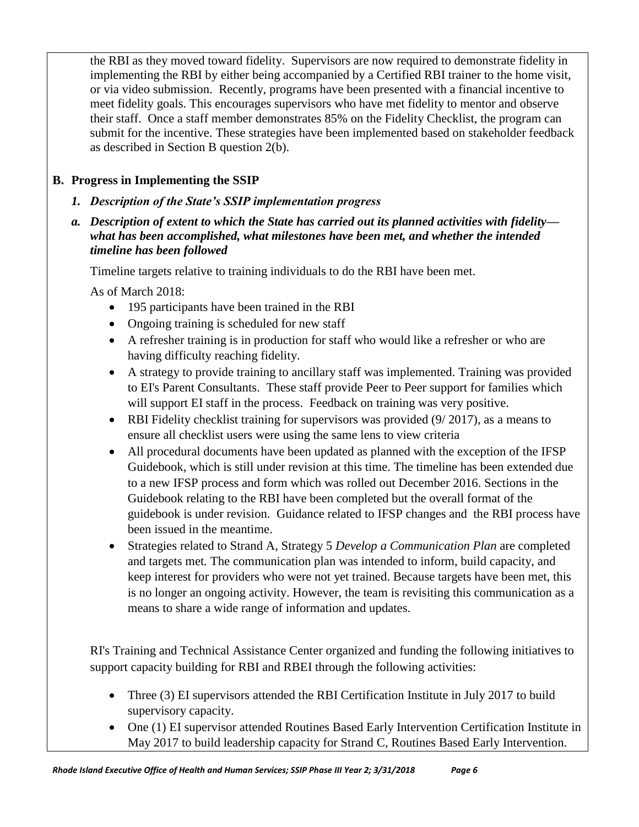the RBI as they moved toward fidelity. Supervisors are now required to demonstrate fidelity in implementing the RBI by either being accompanied by a Certified RBI trainer to the home visit, or via video submission. Recently, programs have been presented with a financial incentive to meet fidelity goals. This encourages supervisors who have met fidelity to mentor and observe their staff. Once a staff member demonstrates 85% on the Fidelity Checklist, the program can submit for the incentive. These strategies have been implemented based on stakeholder feedback as described in Section B question 2(b).

## **B. Progress in Implementing the SSIP**

- *1. Description of the State's SSIP implementation progress*
- *a. Description of extent to which the State has carried out its planned activities with fidelity what has been accomplished, what milestones have been met, and whether the intended timeline has been followed*

Timeline targets relative to training individuals to do the RBI have been met.

As of March 2018:

- 195 participants have been trained in the RBI
- Ongoing training is scheduled for new staff
- A refresher training is in production for staff who would like a refresher or who are having difficulty reaching fidelity.
- A strategy to provide training to ancillary staff was implemented. Training was provided to EI's Parent Consultants. These staff provide Peer to Peer support for families which will support EI staff in the process. Feedback on training was very positive.
- RBI Fidelity checklist training for supervisors was provided (9/2017), as a means to ensure all checklist users were using the same lens to view criteria
- All procedural documents have been updated as planned with the exception of the IFSP Guidebook, which is still under revision at this time. The timeline has been extended due to a new IFSP process and form which was rolled out December 2016. Sections in the Guidebook relating to the RBI have been completed but the overall format of the guidebook is under revision. Guidance related to IFSP changes and the RBI process have been issued in the meantime.
- Strategies related to Strand A, Strategy 5 *Develop a Communication Plan* are completed and targets met*.* The communication plan was intended to inform, build capacity, and keep interest for providers who were not yet trained. Because targets have been met, this is no longer an ongoing activity. However, the team is revisiting this communication as a means to share a wide range of information and updates.

RI's Training and Technical Assistance Center organized and funding the following initiatives to support capacity building for RBI and RBEI through the following activities:

- Three (3) EI supervisors attended the RBI Certification Institute in July 2017 to build supervisory capacity.
- One (1) EI supervisor attended Routines Based Early Intervention Certification Institute in May 2017 to build leadership capacity for Strand C, Routines Based Early Intervention.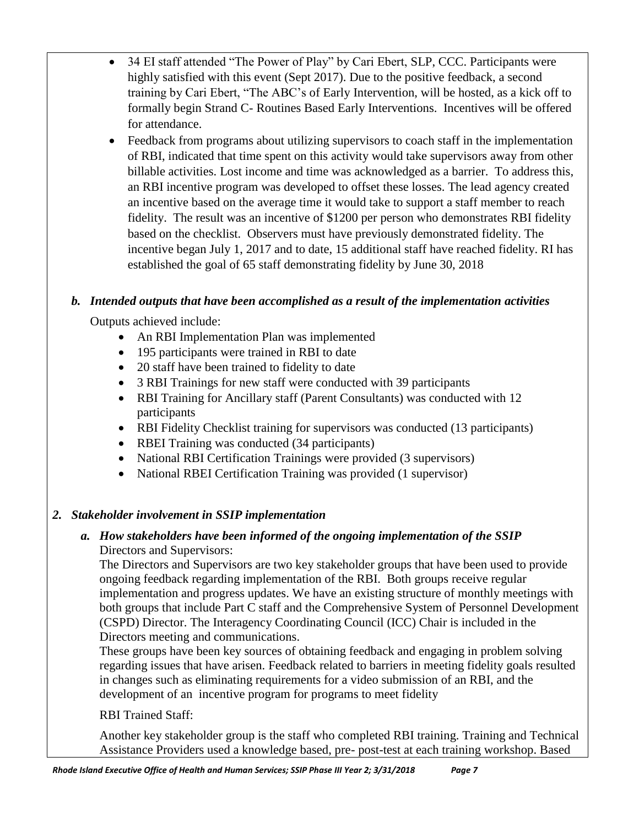- 34 EI staff attended "The Power of Play" by Cari Ebert, SLP, CCC. Participants were highly satisfied with this event (Sept 2017). Due to the positive feedback, a second training by Cari Ebert, "The ABC's of Early Intervention, will be hosted, as a kick off to formally begin Strand C- Routines Based Early Interventions. Incentives will be offered for attendance.
- Feedback from programs about utilizing supervisors to coach staff in the implementation of RBI, indicated that time spent on this activity would take supervisors away from other billable activities. Lost income and time was acknowledged as a barrier. To address this, an RBI incentive program was developed to offset these losses. The lead agency created an incentive based on the average time it would take to support a staff member to reach fidelity. The result was an incentive of \$1200 per person who demonstrates RBI fidelity based on the checklist. Observers must have previously demonstrated fidelity. The incentive began July 1, 2017 and to date, 15 additional staff have reached fidelity. RI has established the goal of 65 staff demonstrating fidelity by June 30, 2018

## *b. Intended outputs that have been accomplished as a result of the implementation activities*

Outputs achieved include:

- An RBI Implementation Plan was implemented
- 195 participants were trained in RBI to date
- 20 staff have been trained to fidelity to date
- 3 RBI Trainings for new staff were conducted with 39 participants
- RBI Training for Ancillary staff (Parent Consultants) was conducted with 12 participants
- RBI Fidelity Checklist training for supervisors was conducted (13 participants)
- RBEI Training was conducted (34 participants)
- National RBI Certification Trainings were provided (3 supervisors)
- National RBEI Certification Training was provided (1 supervisor)

## *2. Stakeholder involvement in SSIP implementation*

## *a. How stakeholders have been informed of the ongoing implementation of the SSIP* Directors and Supervisors:

The Directors and Supervisors are two key stakeholder groups that have been used to provide ongoing feedback regarding implementation of the RBI. Both groups receive regular implementation and progress updates. We have an existing structure of monthly meetings with both groups that include Part C staff and the Comprehensive System of Personnel Development (CSPD) Director. The Interagency Coordinating Council (ICC) Chair is included in the Directors meeting and communications.

These groups have been key sources of obtaining feedback and engaging in problem solving regarding issues that have arisen. Feedback related to barriers in meeting fidelity goals resulted in changes such as eliminating requirements for a video submission of an RBI, and the development of an incentive program for programs to meet fidelity

RBI Trained Staff:

Another key stakeholder group is the staff who completed RBI training. Training and Technical Assistance Providers used a knowledge based, pre- post-test at each training workshop. Based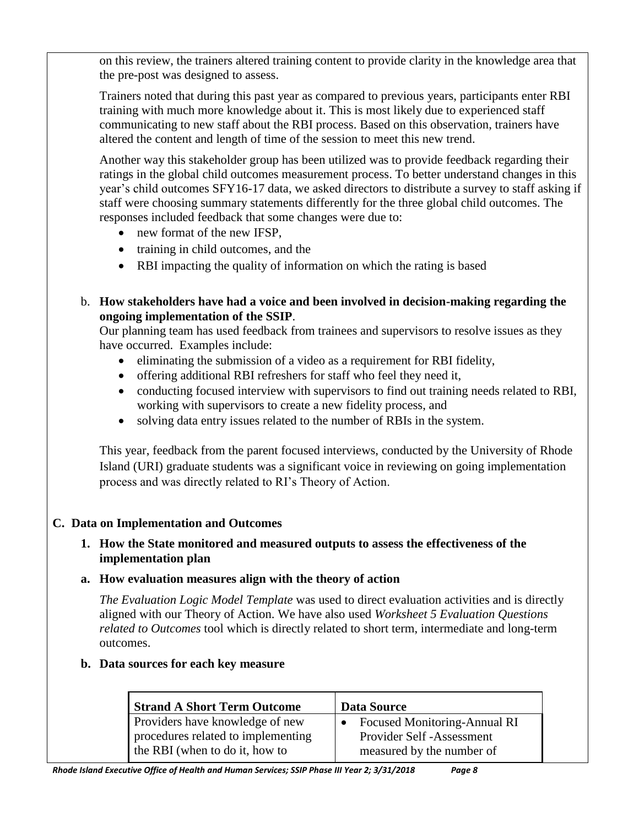on this review, the trainers altered training content to provide clarity in the knowledge area that the pre-post was designed to assess.

Trainers noted that during this past year as compared to previous years, participants enter RBI training with much more knowledge about it. This is most likely due to experienced staff communicating to new staff about the RBI process. Based on this observation, trainers have altered the content and length of time of the session to meet this new trend.

Another way this stakeholder group has been utilized was to provide feedback regarding their ratings in the global child outcomes measurement process. To better understand changes in this year's child outcomes SFY16-17 data, we asked directors to distribute a survey to staff asking if staff were choosing summary statements differently for the three global child outcomes. The responses included feedback that some changes were due to:

- new format of the new IFSP,
- training in child outcomes, and the
- RBI impacting the quality of information on which the rating is based
- b. **How stakeholders have had a voice and been involved in decision-making regarding the ongoing implementation of the SSIP**.

Our planning team has used feedback from trainees and supervisors to resolve issues as they have occurred. Examples include:

- eliminating the submission of a video as a requirement for RBI fidelity,
- offering additional RBI refreshers for staff who feel they need it,
- conducting focused interview with supervisors to find out training needs related to RBI, working with supervisors to create a new fidelity process, and
- solving data entry issues related to the number of RBIs in the system.

This year, feedback from the parent focused interviews, conducted by the University of Rhode Island (URI) graduate students was a significant voice in reviewing on going implementation process and was directly related to RI's Theory of Action.

### **C. Data on Implementation and Outcomes**

### **1. How the State monitored and measured outputs to assess the effectiveness of the implementation plan**

**a. How evaluation measures align with the theory of action**

*The Evaluation Logic Model Template* was used to direct evaluation activities and is directly aligned with our Theory of Action. We have also used *Worksheet 5 Evaluation Questions related to Outcomes* tool which is directly related to short term, intermediate and long-term outcomes.

### **b. Data sources for each key measure**

| <b>Strand A Short Term Outcome</b> | <b>Data Source</b>             |
|------------------------------------|--------------------------------|
| Providers have knowledge of new    | • Focused Monitoring-Annual RI |
| procedures related to implementing | Provider Self -Assessment      |
| the RBI (when to do it, how to     | measured by the number of      |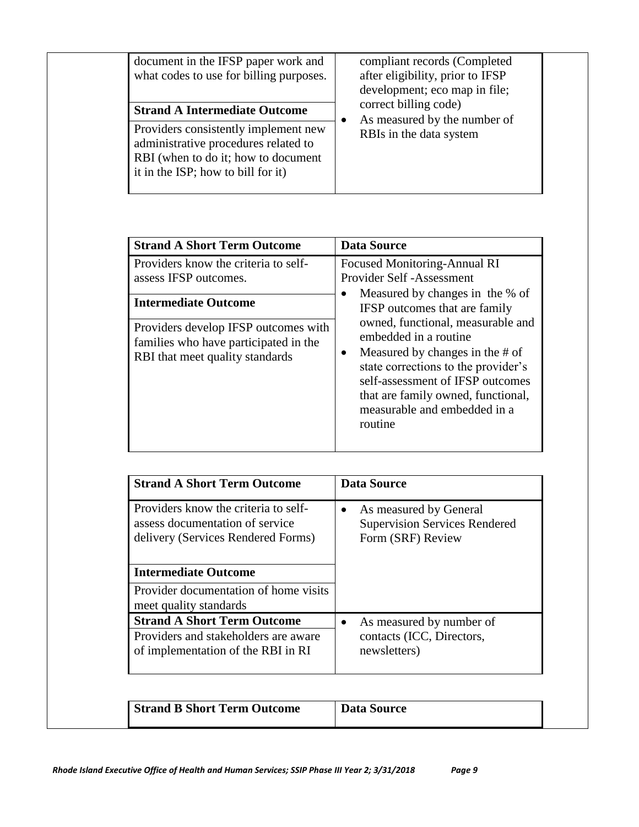| document in the IFSP paper work and<br>what codes to use for billing purposes.<br><b>Strand A Intermediate Outcome</b>                                    |  | compliant records (Completed<br>after eligibility, prior to IFSP<br>development; eco map in file;<br>correct billing code) |  |  |  |
|-----------------------------------------------------------------------------------------------------------------------------------------------------------|--|----------------------------------------------------------------------------------------------------------------------------|--|--|--|
| Providers consistently implement new<br>administrative procedures related to<br>RBI (when to do it; how to document<br>it in the ISP; how to bill for it) |  | As measured by the number of<br>RBIs in the data system                                                                    |  |  |  |

| <b>Strand A Short Term Outcome</b>                                                                                                                                                                               | <b>Data Source</b>                                                                                                                                                                                                                                                                                                                                                                                       |
|------------------------------------------------------------------------------------------------------------------------------------------------------------------------------------------------------------------|----------------------------------------------------------------------------------------------------------------------------------------------------------------------------------------------------------------------------------------------------------------------------------------------------------------------------------------------------------------------------------------------------------|
| Providers know the criteria to self-<br>assess IFSP outcomes.<br><b>Intermediate Outcome</b><br>Providers develop IFSP outcomes with<br>families who have participated in the<br>RBI that meet quality standards | <b>Focused Monitoring-Annual RI</b><br><b>Provider Self -Assessment</b><br>Measured by changes in the % of<br>IFSP outcomes that are family<br>owned, functional, measurable and<br>embedded in a routine<br>Measured by changes in the # of<br>state corrections to the provider's<br>self-assessment of IFSP outcomes<br>that are family owned, functional,<br>measurable and embedded in a<br>routine |

| <b>Strand A Short Term Outcome</b>                                                                               | Data Source                                                                         |
|------------------------------------------------------------------------------------------------------------------|-------------------------------------------------------------------------------------|
| Providers know the criteria to self-<br>assess documentation of service<br>delivery (Services Rendered Forms)    | As measured by General<br><b>Supervision Services Rendered</b><br>Form (SRF) Review |
| <b>Intermediate Outcome</b>                                                                                      |                                                                                     |
| Provider documentation of home visits<br>meet quality standards                                                  |                                                                                     |
| <b>Strand A Short Term Outcome</b><br>Providers and stakeholders are aware<br>of implementation of the RBI in RI | As measured by number of<br>contacts (ICC, Directors,<br>newsletters)               |

| <b>Strand B Short Term Outcome</b> | Data Source |
|------------------------------------|-------------|
|------------------------------------|-------------|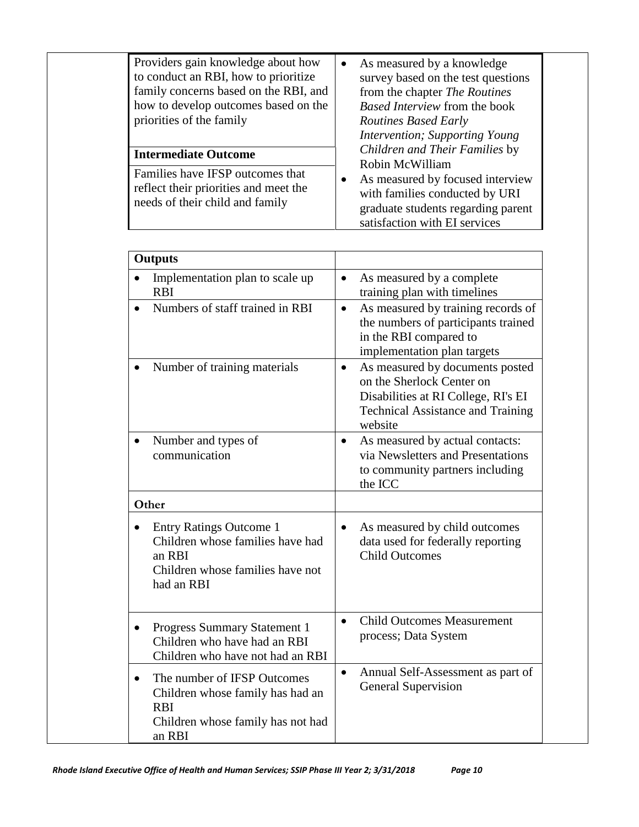| Providers gain knowledge about how<br>to conduct an RBI, how to prioritize<br>family concerns based on the RBI, and<br>how to develop outcomes based on the<br>priorities of the family | As measured by a knowledge<br>survey based on the test questions<br>from the chapter The Routines<br>Based Interview from the book<br><b>Routines Based Early</b><br>Intervention; Supporting Young |  |
|-----------------------------------------------------------------------------------------------------------------------------------------------------------------------------------------|-----------------------------------------------------------------------------------------------------------------------------------------------------------------------------------------------------|--|
| <b>Intermediate Outcome</b>                                                                                                                                                             | Children and Their Families by<br>Robin McWilliam                                                                                                                                                   |  |
| Families have IFSP outcomes that<br>reflect their priorities and meet the<br>needs of their child and family                                                                            | As measured by focused interview<br>with families conducted by URI<br>graduate students regarding parent<br>satisfaction with EI services                                                           |  |

| <b>Outputs</b>                                                                                                                            |                                                                                                                                                                         |
|-------------------------------------------------------------------------------------------------------------------------------------------|-------------------------------------------------------------------------------------------------------------------------------------------------------------------------|
| Implementation plan to scale up<br>$\bullet$<br><b>RBI</b>                                                                                | As measured by a complete<br>$\bullet$<br>training plan with timelines                                                                                                  |
| Numbers of staff trained in RBI                                                                                                           | As measured by training records of<br>$\bullet$<br>the numbers of participants trained<br>in the RBI compared to<br>implementation plan targets                         |
| Number of training materials                                                                                                              | As measured by documents posted<br>$\bullet$<br>on the Sherlock Center on<br>Disabilities at RI College, RI's EI<br><b>Technical Assistance and Training</b><br>website |
| Number and types of<br>$\bullet$<br>communication                                                                                         | As measured by actual contacts:<br>$\bullet$<br>via Newsletters and Presentations<br>to community partners including<br>the ICC                                         |
| Other                                                                                                                                     |                                                                                                                                                                         |
| <b>Entry Ratings Outcome 1</b><br>Children whose families have had<br>an RBI<br>Children whose families have not<br>had an RBI            | As measured by child outcomes<br>data used for federally reporting<br><b>Child Outcomes</b>                                                                             |
| Progress Summary Statement 1<br>Children who have had an RBI<br>Children who have not had an RBI                                          | <b>Child Outcomes Measurement</b><br>process; Data System                                                                                                               |
| The number of IFSP Outcomes<br>$\bullet$<br>Children whose family has had an<br><b>RBI</b><br>Children whose family has not had<br>an RBI | Annual Self-Assessment as part of<br>$\bullet$<br><b>General Supervision</b>                                                                                            |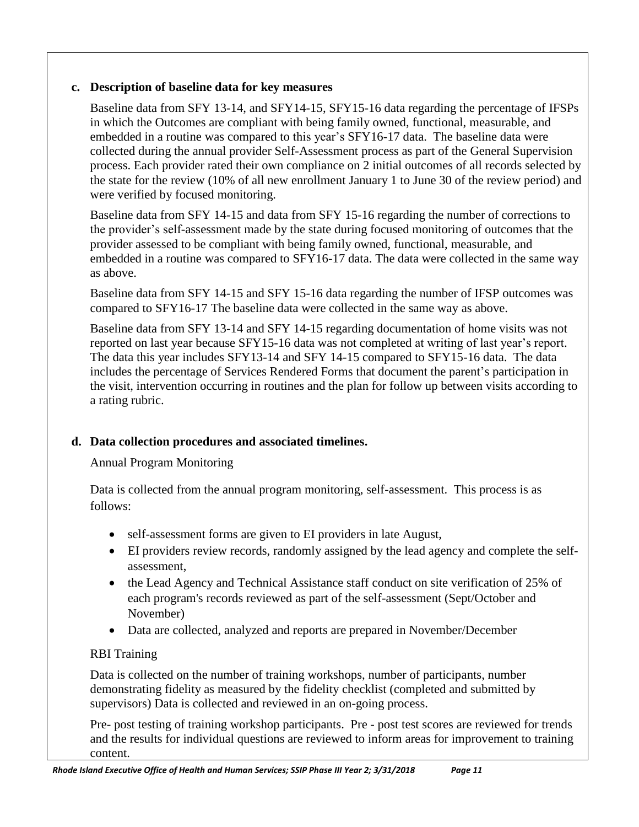## **c. Description of baseline data for key measures**

Baseline data from SFY 13-14, and SFY14-15, SFY15-16 data regarding the percentage of IFSPs in which the Outcomes are compliant with being family owned, functional, measurable, and embedded in a routine was compared to this year's SFY16-17 data. The baseline data were collected during the annual provider Self-Assessment process as part of the General Supervision process. Each provider rated their own compliance on 2 initial outcomes of all records selected by the state for the review (10% of all new enrollment January 1 to June 30 of the review period) and were verified by focused monitoring.

Baseline data from SFY 14-15 and data from SFY 15-16 regarding the number of corrections to the provider's self-assessment made by the state during focused monitoring of outcomes that the provider assessed to be compliant with being family owned, functional, measurable, and embedded in a routine was compared to SFY16-17 data. The data were collected in the same way as above.

Baseline data from SFY 14-15 and SFY 15-16 data regarding the number of IFSP outcomes was compared to SFY16-17 The baseline data were collected in the same way as above.

Baseline data from SFY 13-14 and SFY 14-15 regarding documentation of home visits was not reported on last year because SFY15-16 data was not completed at writing of last year's report. The data this year includes SFY13-14 and SFY 14-15 compared to SFY15-16 data. The data includes the percentage of Services Rendered Forms that document the parent's participation in the visit, intervention occurring in routines and the plan for follow up between visits according to a rating rubric.

## **d. Data collection procedures and associated timelines.**

Annual Program Monitoring

Data is collected from the annual program monitoring, self-assessment. This process is as follows:

- self-assessment forms are given to EI providers in late August,
- EI providers review records, randomly assigned by the lead agency and complete the selfassessment,
- the Lead Agency and Technical Assistance staff conduct on site verification of 25% of each program's records reviewed as part of the self-assessment (Sept/October and November)
- Data are collected, analyzed and reports are prepared in November/December

## RBI Training

Data is collected on the number of training workshops, number of participants, number demonstrating fidelity as measured by the fidelity checklist (completed and submitted by supervisors) Data is collected and reviewed in an on-going process.

Pre- post testing of training workshop participants. Pre - post test scores are reviewed for trends and the results for individual questions are reviewed to inform areas for improvement to training content.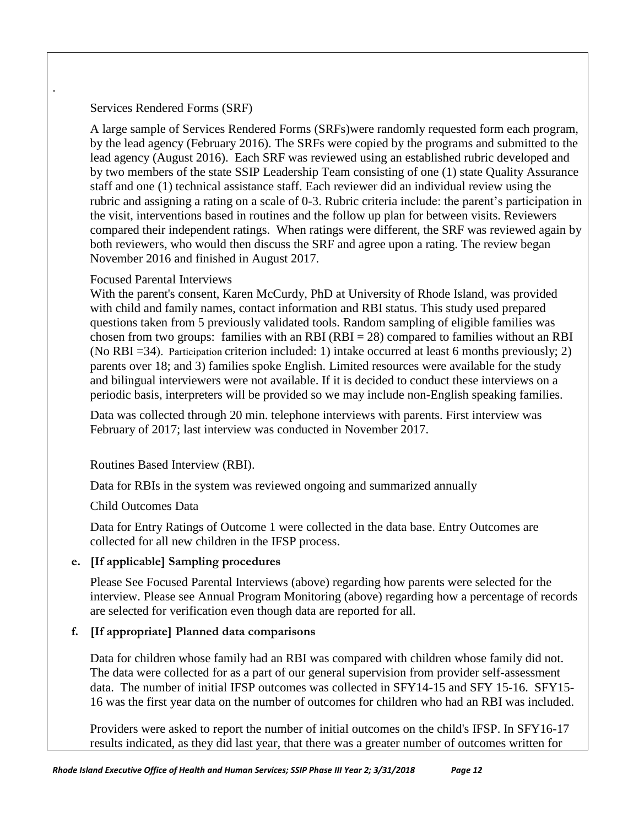#### Services Rendered Forms (SRF)

.

A large sample of Services Rendered Forms (SRFs)were randomly requested form each program, by the lead agency (February 2016). The SRFs were copied by the programs and submitted to the lead agency (August 2016). Each SRF was reviewed using an established rubric developed and by two members of the state SSIP Leadership Team consisting of one (1) state Quality Assurance staff and one (1) technical assistance staff. Each reviewer did an individual review using the rubric and assigning a rating on a scale of 0-3. Rubric criteria include: the parent's participation in the visit, interventions based in routines and the follow up plan for between visits. Reviewers compared their independent ratings. When ratings were different, the SRF was reviewed again by both reviewers, who would then discuss the SRF and agree upon a rating. The review began November 2016 and finished in August 2017.

#### Focused Parental Interviews

With the parent's consent, Karen McCurdy, PhD at University of Rhode Island, was provided with child and family names, contact information and RBI status. This study used prepared questions taken from 5 previously validated tools. Random sampling of eligible families was chosen from two groups: families with an RBI (RBI  $= 28$ ) compared to families without an RBI (No RBI =34). Participation criterion included: 1) intake occurred at least 6 months previously; 2) parents over 18; and 3) families spoke English. Limited resources were available for the study and bilingual interviewers were not available. If it is decided to conduct these interviews on a periodic basis, interpreters will be provided so we may include non-English speaking families.

Data was collected through 20 min. telephone interviews with parents. First interview was February of 2017; last interview was conducted in November 2017.

### Routines Based Interview (RBI).

Data for RBIs in the system was reviewed ongoing and summarized annually

#### Child Outcomes Data

Data for Entry Ratings of Outcome 1 were collected in the data base. Entry Outcomes are collected for all new children in the IFSP process.

### **e. [If applicable] Sampling procedures**

Please See Focused Parental Interviews (above) regarding how parents were selected for the interview. Please see Annual Program Monitoring (above) regarding how a percentage of records are selected for verification even though data are reported for all.

### **f. [If appropriate] Planned data comparisons**

Data for children whose family had an RBI was compared with children whose family did not. The data were collected for as a part of our general supervision from provider self-assessment data. The number of initial IFSP outcomes was collected in SFY14-15 and SFY 15-16. SFY15- 16 was the first year data on the number of outcomes for children who had an RBI was included.

Providers were asked to report the number of initial outcomes on the child's IFSP. In SFY16-17 results indicated, as they did last year, that there was a greater number of outcomes written for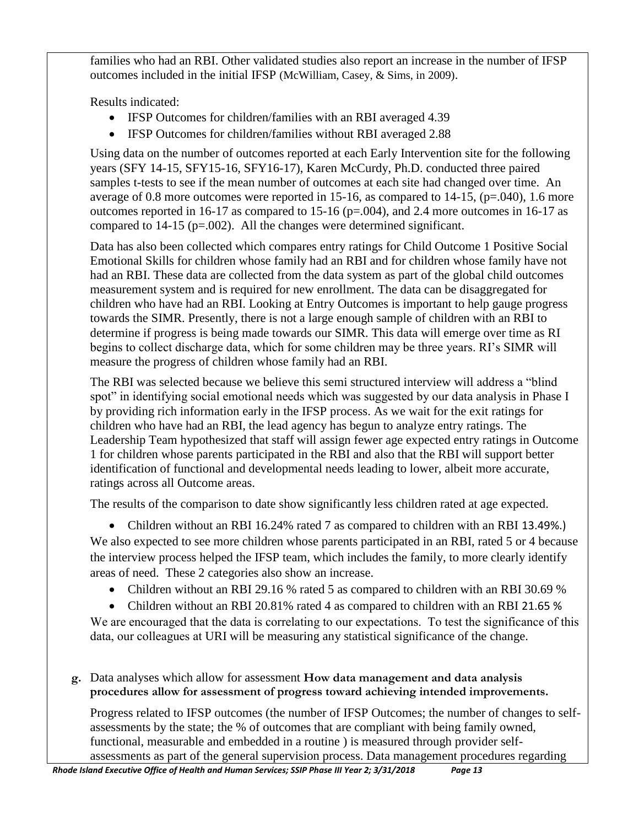families who had an RBI. Other validated studies also report an increase in the number of IFSP outcomes included in the initial IFSP (McWilliam, Casey, & Sims, in 2009).

Results indicated:

- IFSP Outcomes for children/families with an RBI averaged 4.39
- IFSP Outcomes for children/families without RBI averaged 2.88

Using data on the number of outcomes reported at each Early Intervention site for the following years (SFY 14-15, SFY15-16, SFY16-17), Karen McCurdy, Ph.D. conducted three paired samples t-tests to see if the mean number of outcomes at each site had changed over time. An average of 0.8 more outcomes were reported in 15-16, as compared to 14-15,  $(p=.040)$ , 1.6 more outcomes reported in 16-17 as compared to 15-16 ( $p=.004$ ), and 2.4 more outcomes in 16-17 as compared to  $14-15$  (p=.002). All the changes were determined significant.

Data has also been collected which compares entry ratings for Child Outcome 1 Positive Social Emotional Skills for children whose family had an RBI and for children whose family have not had an RBI. These data are collected from the data system as part of the global child outcomes measurement system and is required for new enrollment. The data can be disaggregated for children who have had an RBI. Looking at Entry Outcomes is important to help gauge progress towards the SIMR. Presently, there is not a large enough sample of children with an RBI to determine if progress is being made towards our SIMR. This data will emerge over time as RI begins to collect discharge data, which for some children may be three years. RI's SIMR will measure the progress of children whose family had an RBI.

The RBI was selected because we believe this semi structured interview will address a "blind spot" in identifying social emotional needs which was suggested by our data analysis in Phase I by providing rich information early in the IFSP process. As we wait for the exit ratings for children who have had an RBI, the lead agency has begun to analyze entry ratings. The Leadership Team hypothesized that staff will assign fewer age expected entry ratings in Outcome 1 for children whose parents participated in the RBI and also that the RBI will support better identification of functional and developmental needs leading to lower, albeit more accurate, ratings across all Outcome areas.

The results of the comparison to date show significantly less children rated at age expected.

• Children without an RBI 16.24% rated 7 as compared to children with an RBI 13.49%.) We also expected to see more children whose parents participated in an RBI, rated 5 or 4 because the interview process helped the IFSP team, which includes the family, to more clearly identify areas of need. These 2 categories also show an increase.

- Children without an RBI 29.16 % rated 5 as compared to children with an RBI 30.69 %
- Children without an RBI 20.81% rated 4 as compared to children with an RBI 21.65 %

We are encouraged that the data is correlating to our expectations. To test the significance of this data, our colleagues at URI will be measuring any statistical significance of the change.

**g.** Data analyses which allow for assessment **How data management and data analysis procedures allow for assessment of progress toward achieving intended improvements.** 

Progress related to IFSP outcomes (the number of IFSP Outcomes; the number of changes to selfassessments by the state; the % of outcomes that are compliant with being family owned, functional, measurable and embedded in a routine ) is measured through provider selfassessments as part of the general supervision process. Data management procedures regarding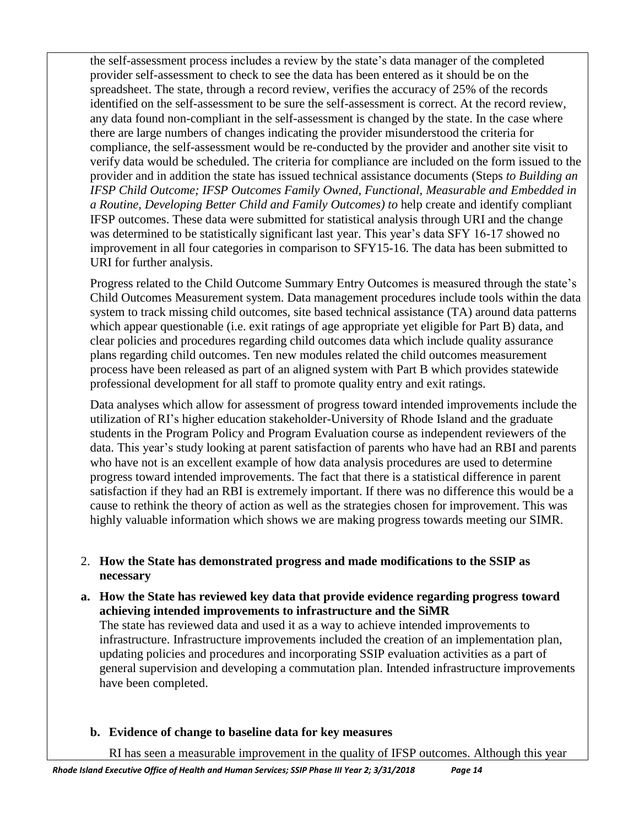the self-assessment process includes a review by the state's data manager of the completed provider self-assessment to check to see the data has been entered as it should be on the spreadsheet. The state, through a record review, verifies the accuracy of 25% of the records identified on the self-assessment to be sure the self-assessment is correct. At the record review, any data found non-compliant in the self-assessment is changed by the state. In the case where there are large numbers of changes indicating the provider misunderstood the criteria for compliance, the self-assessment would be re-conducted by the provider and another site visit to verify data would be scheduled. The criteria for compliance are included on the form issued to the provider and in addition the state has issued technical assistance documents (Steps *to Building an IFSP Child Outcome; IFSP Outcomes Family Owned, Functional, Measurable and Embedded in a Routine, Developing Better Child and Family Outcomes) to* help create and identify compliant IFSP outcomes. These data were submitted for statistical analysis through URI and the change was determined to be statistically significant last year. This year's data SFY 16-17 showed no improvement in all four categories in comparison to SFY15-16. The data has been submitted to URI for further analysis.

Progress related to the Child Outcome Summary Entry Outcomes is measured through the state's Child Outcomes Measurement system. Data management procedures include tools within the data system to track missing child outcomes, site based technical assistance (TA) around data patterns which appear questionable (i.e. exit ratings of age appropriate yet eligible for Part B) data, and clear policies and procedures regarding child outcomes data which include quality assurance plans regarding child outcomes. Ten new modules related the child outcomes measurement process have been released as part of an aligned system with Part B which provides statewide professional development for all staff to promote quality entry and exit ratings.

Data analyses which allow for assessment of progress toward intended improvements include the utilization of RI's higher education stakeholder-University of Rhode Island and the graduate students in the Program Policy and Program Evaluation course as independent reviewers of the data. This year's study looking at parent satisfaction of parents who have had an RBI and parents who have not is an excellent example of how data analysis procedures are used to determine progress toward intended improvements. The fact that there is a statistical difference in parent satisfaction if they had an RBI is extremely important. If there was no difference this would be a cause to rethink the theory of action as well as the strategies chosen for improvement. This was highly valuable information which shows we are making progress towards meeting our SIMR.

- 2. **How the State has demonstrated progress and made modifications to the SSIP as necessary**
- **a. How the State has reviewed key data that provide evidence regarding progress toward achieving intended improvements to infrastructure and the SiMR**

The state has reviewed data and used it as a way to achieve intended improvements to infrastructure. Infrastructure improvements included the creation of an implementation plan, updating policies and procedures and incorporating SSIP evaluation activities as a part of general supervision and developing a commutation plan. Intended infrastructure improvements have been completed.

**b. Evidence of change to baseline data for key measures**

RI has seen a measurable improvement in the quality of IFSP outcomes. Although this year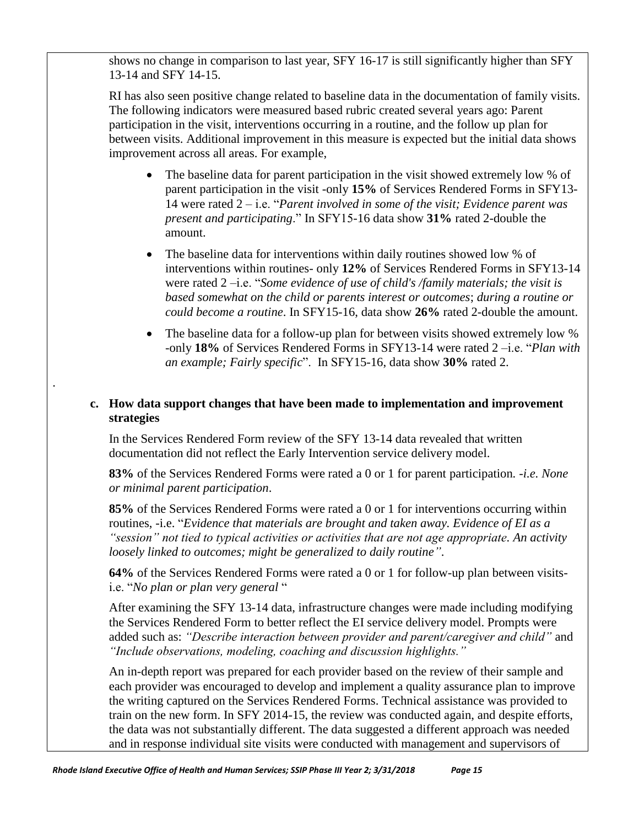shows no change in comparison to last year, SFY 16-17 is still significantly higher than SFY 13-14 and SFY 14-15.

RI has also seen positive change related to baseline data in the documentation of family visits. The following indicators were measured based rubric created several years ago: Parent participation in the visit, interventions occurring in a routine, and the follow up plan for between visits. Additional improvement in this measure is expected but the initial data shows improvement across all areas. For example,

- The baseline data for parent participation in the visit showed extremely low % of parent participation in the visit -only **15%** of Services Rendered Forms in SFY13- 14 were rated 2 – i.e. "*Parent involved in some of the visit; Evidence parent was present and participating*." In SFY15-16 data show **31%** rated 2-double the amount.
- The baseline data for interventions within daily routines showed low % of interventions within routines- only **12%** of Services Rendered Forms in SFY13-14 were rated 2 –i.e. "*Some evidence of use of child's /family materials; the visit is based somewhat on the child or parents interest or outcomes*; *during a routine or could become a routine*. In SFY15-16, data show **26%** rated 2-double the amount.
- The baseline data for a follow-up plan for between visits showed extremely low % -only **18%** of Services Rendered Forms in SFY13-14 were rated 2 –i.e. "*Plan with an example; Fairly specific*". In SFY15-16, data show **30%** rated 2.

#### **c. How data support changes that have been made to implementation and improvement strategies**

In the Services Rendered Form review of the SFY 13-14 data revealed that written documentation did not reflect the Early Intervention service delivery model.

.

**83%** of the Services Rendered Forms were rated a 0 or 1 for parent participation*. -i.e. None or minimal parent participation*.

**85%** of the Services Rendered Forms were rated a 0 or 1 for interventions occurring within routines, -i.e. "*Evidence that materials are brought and taken away. Evidence of EI as a "session" not tied to typical activities or activities that are not age appropriate. An activity loosely linked to outcomes; might be generalized to daily routine"*.

**64%** of the Services Rendered Forms were rated a 0 or 1 for follow-up plan between visitsi.e. "*No plan or plan very general* "

After examining the SFY 13-14 data, infrastructure changes were made including modifying the Services Rendered Form to better reflect the EI service delivery model. Prompts were added such as: *"Describe interaction between provider and parent/caregiver and child"* and *"Include observations, modeling, coaching and discussion highlights."*

An in-depth report was prepared for each provider based on the review of their sample and each provider was encouraged to develop and implement a quality assurance plan to improve the writing captured on the Services Rendered Forms. Technical assistance was provided to train on the new form. In SFY 2014-15, the review was conducted again, and despite efforts, the data was not substantially different. The data suggested a different approach was needed and in response individual site visits were conducted with management and supervisors of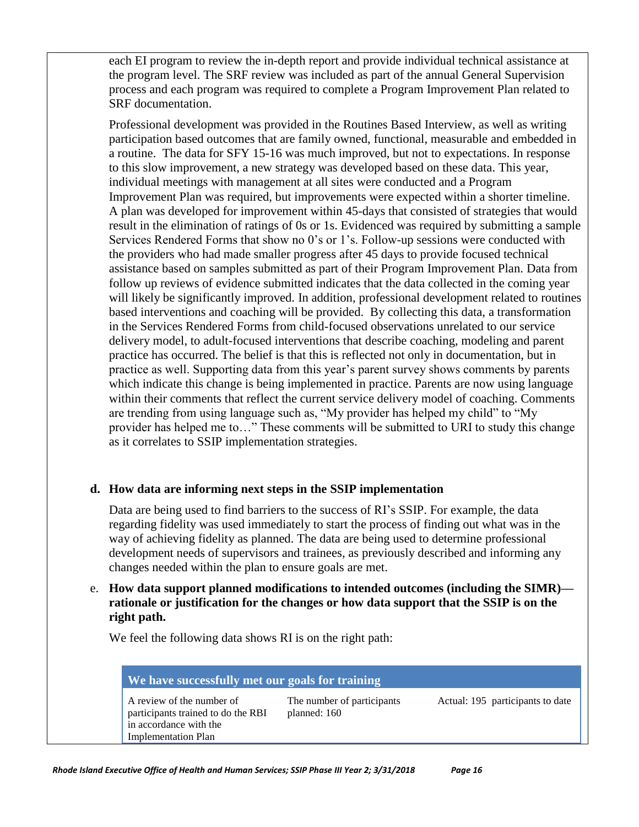each EI program to review the in-depth report and provide individual technical assistance at the program level. The SRF review was included as part of the annual General Supervision process and each program was required to complete a Program Improvement Plan related to SRF documentation.

Professional development was provided in the Routines Based Interview, as well as writing participation based outcomes that are family owned, functional, measurable and embedded in a routine. The data for SFY 15-16 was much improved, but not to expectations. In response to this slow improvement, a new strategy was developed based on these data. This year, individual meetings with management at all sites were conducted and a Program Improvement Plan was required, but improvements were expected within a shorter timeline. A plan was developed for improvement within 45-days that consisted of strategies that would result in the elimination of ratings of 0s or 1s. Evidenced was required by submitting a sample Services Rendered Forms that show no 0's or 1's. Follow-up sessions were conducted with the providers who had made smaller progress after 45 days to provide focused technical assistance based on samples submitted as part of their Program Improvement Plan. Data from follow up reviews of evidence submitted indicates that the data collected in the coming year will likely be significantly improved. In addition, professional development related to routines based interventions and coaching will be provided. By collecting this data, a transformation in the Services Rendered Forms from child-focused observations unrelated to our service delivery model, to adult-focused interventions that describe coaching, modeling and parent practice has occurred. The belief is that this is reflected not only in documentation, but in practice as well. Supporting data from this year's parent survey shows comments by parents which indicate this change is being implemented in practice. Parents are now using language within their comments that reflect the current service delivery model of coaching. Comments are trending from using language such as, "My provider has helped my child" to "My provider has helped me to…" These comments will be submitted to URI to study this change as it correlates to SSIP implementation strategies.

### **d. How data are informing next steps in the SSIP implementation**

Data are being used to find barriers to the success of RI's SSIP. For example, the data regarding fidelity was used immediately to start the process of finding out what was in the way of achieving fidelity as planned. The data are being used to determine professional development needs of supervisors and trainees, as previously described and informing any changes needed within the plan to ensure goals are met.

### e. **How data support planned modifications to intended outcomes (including the SIMR) rationale or justification for the changes or how data support that the SSIP is on the right path.**

We feel the following data shows RI is on the right path:

| We have successfully met our goals for training |                                  |
|-------------------------------------------------|----------------------------------|
| The number of participants<br>planned: 160      | Actual: 195 participants to date |
|                                                 |                                  |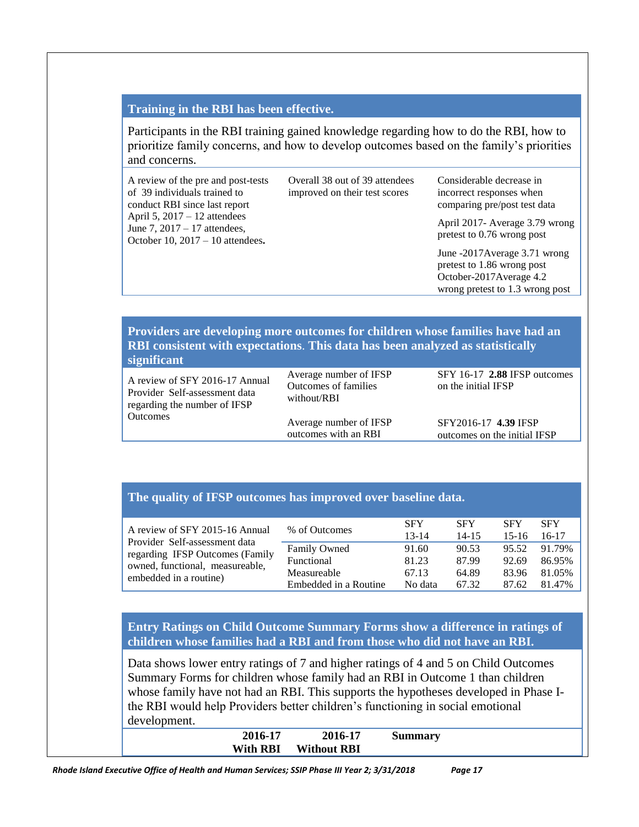#### **Training in the RBI has been effective.**

Participants in the RBI training gained knowledge regarding how to do the RBI, how to prioritize family concerns, and how to develop outcomes based on the family's priorities and concerns.

| A review of the pre and post-tests<br>of 39 individuals trained to<br>conduct RBI since last report<br>April 5, $2017 - 12$ attendees<br>June 7, 2017 – 17 attendees,<br>October 10, $2017 - 10$ attendees. | Overall 38 out of 39 attendees<br>improved on their test scores | Considerable decrease in<br>incorrect responses when<br>comparing pre/post test data                                      |
|-------------------------------------------------------------------------------------------------------------------------------------------------------------------------------------------------------------|-----------------------------------------------------------------|---------------------------------------------------------------------------------------------------------------------------|
|                                                                                                                                                                                                             |                                                                 | April 2017- Average 3.79 wrong<br>pretest to 0.76 wrong post                                                              |
|                                                                                                                                                                                                             |                                                                 | June -2017 Average 3.71 wrong<br>pretest to 1.86 wrong post<br>October-2017Average 4.2<br>wrong pretest to 1.3 wrong post |

#### **Providers are developing more outcomes for children whose families have had an RBI consistent with expectations**. **This data has been analyzed as statistically significant**

A review of SFY 2016-17 Annual Provider Self-assessment data regarding the number of IFSP **Outcomes** 

Average number of IFSP Outcomes of families without/RBI

Average number of IFSP outcomes with an RBI

SFY 16-17 **2.88** IFSP outcomes on the initial IFSP

SFY2016-17 **4.39** IFSP outcomes on the initial IFSP

#### **The quality of IFSP outcomes has improved over baseline data.**

| A review of SFY 2015-16 Annual  | % of Outcomes         | <b>SFY</b><br>$13 - 14$ | <b>SFY</b><br>$14 - 15$ | <b>SFY</b><br>$15-16$ | <b>SFY</b><br>16-17 |
|---------------------------------|-----------------------|-------------------------|-------------------------|-----------------------|---------------------|
| Provider Self-assessment data   | <b>Family Owned</b>   | 91.60                   | 90.53                   | 95.52                 | 91.79%              |
| regarding IFSP Outcomes (Family | Functional            | 81.23                   | 87.99                   | 92.69                 | 86.95%              |
| owned, functional, measureable, | Measureable           | 67.13                   | 64.89                   | 83.96                 | 81.05%              |
| embedded in a routine)          | Embedded in a Routine | No data                 | 67.32                   | 87.62                 | 81.47%              |

**Entry Ratings on Child Outcome Summary Forms show a difference in ratings of children whose families had a RBI and from those who did not have an RBI.**

Data shows lower entry ratings of 7 and higher ratings of 4 and 5 on Child Outcomes Summary Forms for children whose family had an RBI in Outcome 1 than children whose family have not had an RBI. This supports the hypotheses developed in Phase Ithe RBI would help Providers better children's functioning in social emotional development. **2016-17 2016-17 Summary**

| Summary | 2016-17            | 2016-17         |
|---------|--------------------|-----------------|
|         | <b>Without RBI</b> | <b>With RBI</b> |
|         |                    |                 |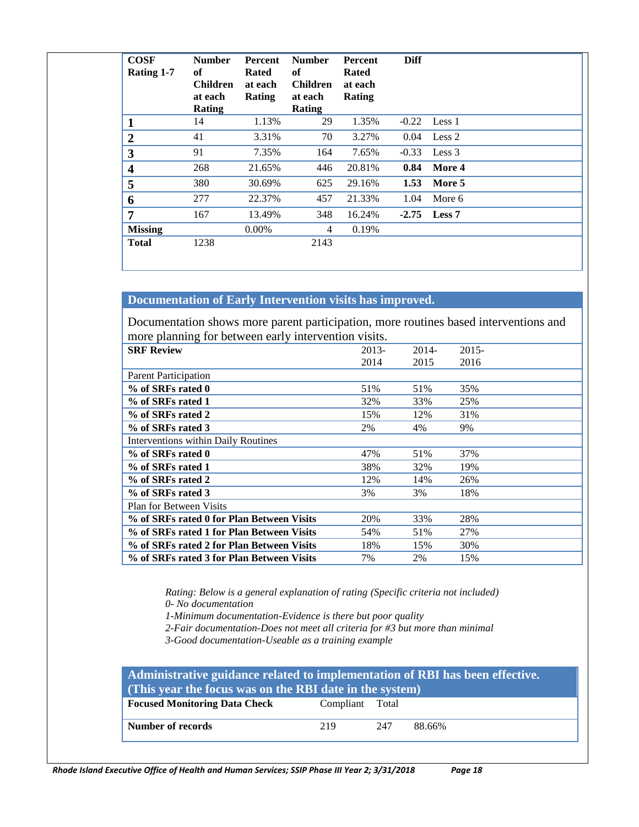| <b>COSF</b><br>Rating 1-7 | <b>Number</b><br>of<br><b>Children</b><br>at each<br><b>Rating</b> | Percent<br><b>Rated</b><br>at each<br>Rating | <b>Number</b><br>of<br><b>Children</b><br>at each<br><b>Rating</b> | Percent<br><b>Rated</b><br>at each<br>Rating | <b>Diff</b> |                |
|---------------------------|--------------------------------------------------------------------|----------------------------------------------|--------------------------------------------------------------------|----------------------------------------------|-------------|----------------|
| 1                         | 14                                                                 | 1.13%                                        | 29                                                                 | 1.35%                                        | $-0.22$     | Less 1         |
| $\boldsymbol{2}$          | 41                                                                 | 3.31%                                        | 70                                                                 | 3.27%                                        | 0.04        | Less 2         |
| $\overline{\mathbf{3}}$   | 91                                                                 | 7.35%                                        | 164                                                                | 7.65%                                        | $-0.33$     | Less 3         |
| $\overline{\mathbf{4}}$   | 268                                                                | 21.65%                                       | 446                                                                | 20.81%                                       | 0.84        | More 4         |
| 5                         | 380                                                                | 30.69%                                       | 625                                                                | 29.16%                                       | 1.53        | More 5         |
| 6                         | 277                                                                | 22.37%                                       | 457                                                                | 21.33%                                       | 1.04        | More 6         |
| $\overline{7}$            | 167                                                                | 13.49%                                       | 348                                                                | 16.24%                                       |             | $-2.75$ Less 7 |
| <b>Missing</b>            |                                                                    | $0.00\%$                                     | 4                                                                  | 0.19%                                        |             |                |
| <b>Total</b>              | 1238                                                               |                                              | 2143                                                               |                                              |             |                |

### **Documentation of Early Intervention visits has improved.**

Documentation shows more parent participation, more routines based interventions and more planning for between early intervention visits.

| o                                          |       |       |          |
|--------------------------------------------|-------|-------|----------|
| <b>SRF Review</b>                          | 2013- | 2014- | $2015 -$ |
|                                            | 2014  | 2015  | 2016     |
| <b>Parent Participation</b>                |       |       |          |
| % of SRFs rated 0                          | 51%   | 51%   | 35%      |
| % of SRFs rated 1                          | 32%   | 33%   | 25%      |
| % of SRFs rated 2                          | 15%   | 12%   | 31%      |
| % of SRFs rated 3                          | 2%    | 4%    | 9%       |
| <b>Interventions within Daily Routines</b> |       |       |          |
| % of SRFs rated 0                          | 47%   | 51%   | 37%      |
| % of SRFs rated 1                          | 38%   | 32%   | 19%      |
| % of SRFs rated 2                          | 12%   | 14%   | 26%      |
| % of SRFs rated 3                          | 3%    | 3%    | 18%      |
| <b>Plan for Between Visits</b>             |       |       |          |
| % of SRFs rated 0 for Plan Between Visits  | 20%   | 33%   | 28%      |
| % of SRFs rated 1 for Plan Between Visits  | 54%   | 51%   | 27%      |
| % of SRFs rated 2 for Plan Between Visits  | 18%   | 15%   | 30%      |
| % of SRFs rated 3 for Plan Between Visits  | 7%    | 2%    | 15%      |

*Rating: Below is a general explanation of rating (Specific criteria not included) 0- No documentation*

*1-Minimum documentation-Evidence is there but poor quality*

*2-Fair documentation-Does not meet all criteria for #3 but more than minimal*

*3-Good documentation-Useable as a training example*

| Administrative guidance related to implementation of RBI has been effective.<br>(This year the focus was on the RBI date in the system) |                 |     |        |  |
|-----------------------------------------------------------------------------------------------------------------------------------------|-----------------|-----|--------|--|
| <b>Focused Monitoring Data Check</b>                                                                                                    | Compliant Total |     |        |  |
| Number of records                                                                                                                       | 219             | 247 | 88.66% |  |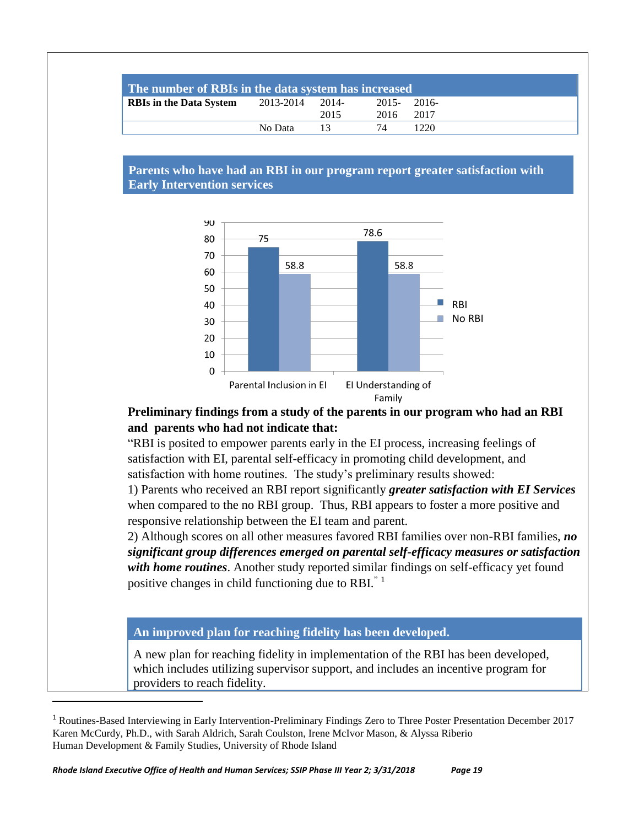| The number of RBIs in the data system has increased |                 |      |               |      |
|-----------------------------------------------------|-----------------|------|---------------|------|
| <b>RBIs in the Data System</b>                      | 2013-2014 2014- |      | $2015 - 2016$ |      |
|                                                     |                 | 2015 | 2016 2017     |      |
|                                                     | No Data         | 13   | 74            | 1220 |

#### **Parents who have had an RBI in our program report greater satisfaction with Early Intervention services**



### **Preliminary findings from a study of the parents in our program who had an RBI and parents who had not indicate that:**

"RBI is posited to empower parents early in the EI process, increasing feelings of satisfaction with EI, parental self-efficacy in promoting child development, and satisfaction with home routines. The study's preliminary results showed:

1) Parents who received an RBI report significantly *greater satisfaction with EI Services* when compared to the no RBI group. Thus, RBI appears to foster a more positive and responsive relationship between the EI team and parent.

2) Although scores on all other measures favored RBI families over non-RBI families, *no significant group differences emerged on parental self-efficacy measures or satisfaction with home routines*. Another study reported similar findings on self-efficacy yet found positive changes in child functioning due to RBI. $^{\degree}$ <sup>1</sup>

### **An improved plan for reaching fidelity has been developed.**

A new plan for reaching fidelity in implementation of the RBI has been developed, which includes utilizing supervisor support, and includes an incentive program for providers to reach fidelity.

 $\overline{a}$ 

<sup>1</sup> Routines-Based Interviewing in Early Intervention-Preliminary Findings Zero to Three Poster Presentation December 2017 Karen McCurdy, Ph.D., with Sarah Aldrich, Sarah Coulston, Irene McIvor Mason, & Alyssa Riberio Human Development & Family Studies, University of Rhode Island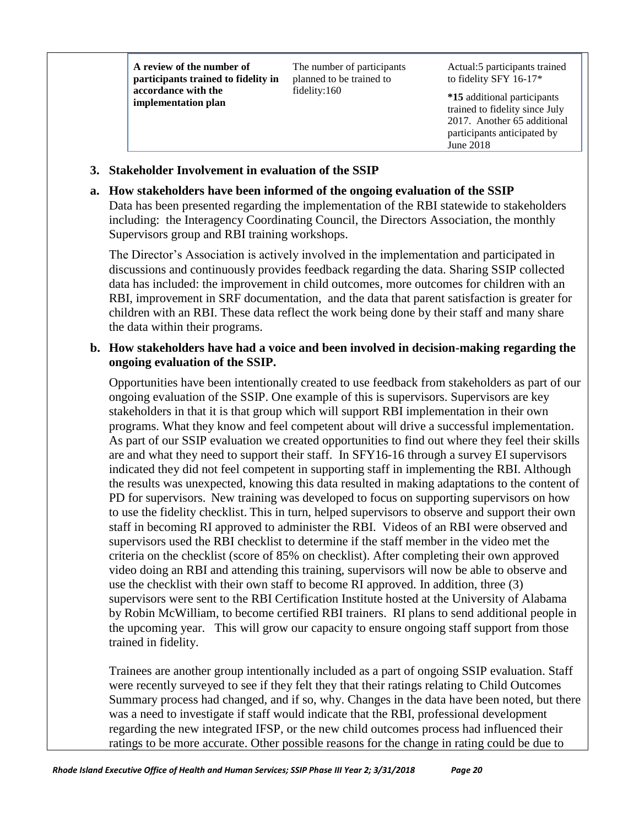**A review of the number of participants trained to fidelity in accordance with the implementation plan**

The number of participants planned to be trained to fidelity:160

Actual:5 participants trained to fidelity SFY 16-17\*

**\*15** additional participants trained to fidelity since July 2017. Another 65 additional participants anticipated by June 2018

### **3. Stakeholder Involvement in evaluation of the SSIP**

### **a. How stakeholders have been informed of the ongoing evaluation of the SSIP**

Data has been presented regarding the implementation of the RBI statewide to stakeholders including: the Interagency Coordinating Council, the Directors Association, the monthly Supervisors group and RBI training workshops.

The Director's Association is actively involved in the implementation and participated in discussions and continuously provides feedback regarding the data. Sharing SSIP collected data has included: the improvement in child outcomes, more outcomes for children with an RBI, improvement in SRF documentation, and the data that parent satisfaction is greater for children with an RBI. These data reflect the work being done by their staff and many share the data within their programs.

### **b. How stakeholders have had a voice and been involved in decision-making regarding the ongoing evaluation of the SSIP.**

Opportunities have been intentionally created to use feedback from stakeholders as part of our ongoing evaluation of the SSIP. One example of this is supervisors. Supervisors are key stakeholders in that it is that group which will support RBI implementation in their own programs. What they know and feel competent about will drive a successful implementation. As part of our SSIP evaluation we created opportunities to find out where they feel their skills are and what they need to support their staff. In SFY16-16 through a survey EI supervisors indicated they did not feel competent in supporting staff in implementing the RBI. Although the results was unexpected, knowing this data resulted in making adaptations to the content of PD for supervisors. New training was developed to focus on supporting supervisors on how to use the fidelity checklist. This in turn, helped supervisors to observe and support their own staff in becoming RI approved to administer the RBI. Videos of an RBI were observed and supervisors used the RBI checklist to determine if the staff member in the video met the criteria on the checklist (score of 85% on checklist). After completing their own approved video doing an RBI and attending this training, supervisors will now be able to observe and use the checklist with their own staff to become RI approved. In addition, three (3) supervisors were sent to the RBI Certification Institute hosted at the University of Alabama by Robin McWilliam, to become certified RBI trainers. RI plans to send additional people in the upcoming year. This will grow our capacity to ensure ongoing staff support from those trained in fidelity.

Trainees are another group intentionally included as a part of ongoing SSIP evaluation. Staff were recently surveyed to see if they felt they that their ratings relating to Child Outcomes Summary process had changed, and if so, why. Changes in the data have been noted, but there was a need to investigate if staff would indicate that the RBI, professional development regarding the new integrated IFSP, or the new child outcomes process had influenced their ratings to be more accurate. Other possible reasons for the change in rating could be due to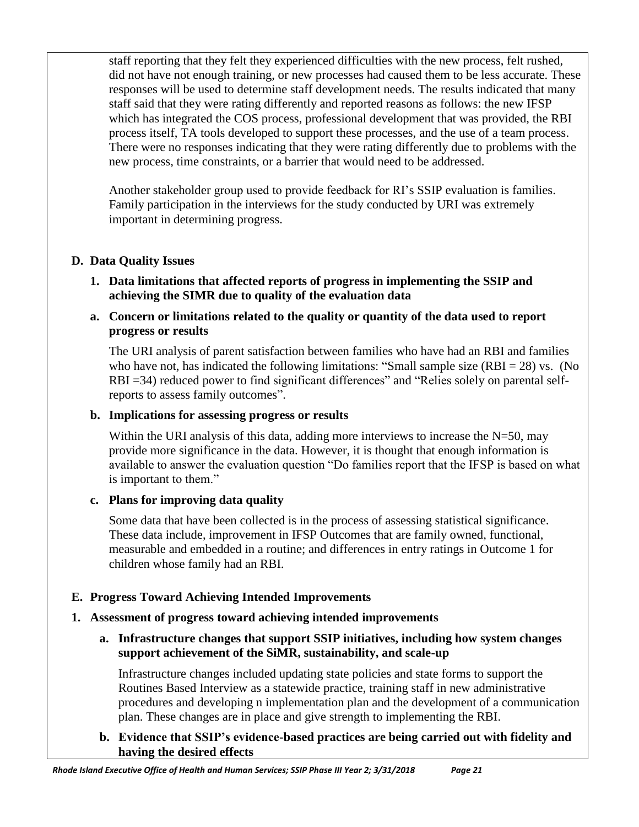staff reporting that they felt they experienced difficulties with the new process, felt rushed, did not have not enough training, or new processes had caused them to be less accurate. These responses will be used to determine staff development needs. The results indicated that many staff said that they were rating differently and reported reasons as follows: the new IFSP which has integrated the COS process, professional development that was provided, the RBI process itself, TA tools developed to support these processes, and the use of a team process. There were no responses indicating that they were rating differently due to problems with the new process, time constraints, or a barrier that would need to be addressed.

Another stakeholder group used to provide feedback for RI's SSIP evaluation is families. Family participation in the interviews for the study conducted by URI was extremely important in determining progress.

## **D. Data Quality Issues**

- **1. Data limitations that affected reports of progress in implementing the SSIP and achieving the SIMR due to quality of the evaluation data**
- **a. Concern or limitations related to the quality or quantity of the data used to report progress or results**

The URI analysis of parent satisfaction between families who have had an RBI and families who have not, has indicated the following limitations: "Small sample size  $(RBI = 28)$  vs. (No RBI =34) reduced power to find significant differences" and "Relies solely on parental selfreports to assess family outcomes".

## **b. Implications for assessing progress or results**

Within the URI analysis of this data, adding more interviews to increase the  $N=50$ , may provide more significance in the data. However, it is thought that enough information is available to answer the evaluation question "Do families report that the IFSP is based on what is important to them."

## **c. Plans for improving data quality**

Some data that have been collected is in the process of assessing statistical significance. These data include, improvement in IFSP Outcomes that are family owned, functional, measurable and embedded in a routine; and differences in entry ratings in Outcome 1 for children whose family had an RBI.

## **E. Progress Toward Achieving Intended Improvements**

## **1. Assessment of progress toward achieving intended improvements**

## **a. Infrastructure changes that support SSIP initiatives, including how system changes support achievement of the SiMR, sustainability, and scale-up**

Infrastructure changes included updating state policies and state forms to support the Routines Based Interview as a statewide practice, training staff in new administrative procedures and developing n implementation plan and the development of a communication plan. These changes are in place and give strength to implementing the RBI.

### **b. Evidence that SSIP's evidence-based practices are being carried out with fidelity and having the desired effects**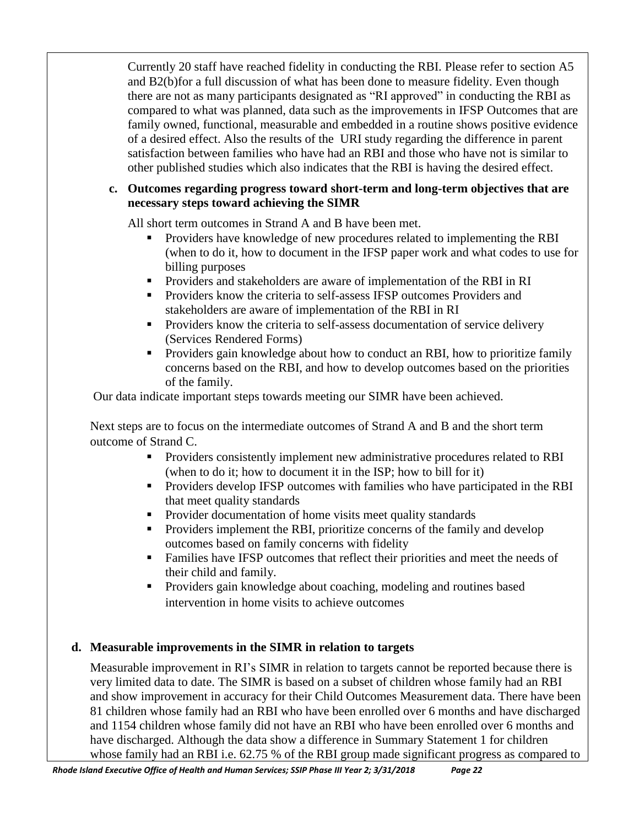Currently 20 staff have reached fidelity in conducting the RBI. Please refer to section A5 and B2(b)for a full discussion of what has been done to measure fidelity. Even though there are not as many participants designated as "RI approved" in conducting the RBI as compared to what was planned, data such as the improvements in IFSP Outcomes that are family owned, functional, measurable and embedded in a routine shows positive evidence of a desired effect. Also the results of the URI study regarding the difference in parent satisfaction between families who have had an RBI and those who have not is similar to other published studies which also indicates that the RBI is having the desired effect.

#### **c. Outcomes regarding progress toward short-term and long-term objectives that are necessary steps toward achieving the SIMR**

All short term outcomes in Strand A and B have been met.

- Providers have knowledge of new procedures related to implementing the RBI (when to do it, how to document in the IFSP paper work and what codes to use for billing purposes
- Providers and stakeholders are aware of implementation of the RBI in RI
- **•** Providers know the criteria to self-assess IFSP outcomes Providers and stakeholders are aware of implementation of the RBI in RI
- **•** Providers know the criteria to self-assess documentation of service delivery (Services Rendered Forms)
- **•** Providers gain knowledge about how to conduct an RBI, how to prioritize family concerns based on the RBI, and how to develop outcomes based on the priorities of the family.

Our data indicate important steps towards meeting our SIMR have been achieved.

Next steps are to focus on the intermediate outcomes of Strand A and B and the short term outcome of Strand C.

- **•** Providers consistently implement new administrative procedures related to RBI (when to do it; how to document it in the ISP; how to bill for it)
- **•** Providers develop IFSP outcomes with families who have participated in the RBI that meet quality standards
- Provider documentation of home visits meet quality standards
- **•** Providers implement the RBI, prioritize concerns of the family and develop outcomes based on family concerns with fidelity
- Families have IFSP outcomes that reflect their priorities and meet the needs of their child and family.
- **•** Providers gain knowledge about coaching, modeling and routines based intervention in home visits to achieve outcomes

## **d. Measurable improvements in the SIMR in relation to targets**

Measurable improvement in RI's SIMR in relation to targets cannot be reported because there is very limited data to date. The SIMR is based on a subset of children whose family had an RBI and show improvement in accuracy for their Child Outcomes Measurement data. There have been 81 children whose family had an RBI who have been enrolled over 6 months and have discharged and 1154 children whose family did not have an RBI who have been enrolled over 6 months and have discharged. Although the data show a difference in Summary Statement 1 for children whose family had an RBI i.e. 62.75 % of the RBI group made significant progress as compared to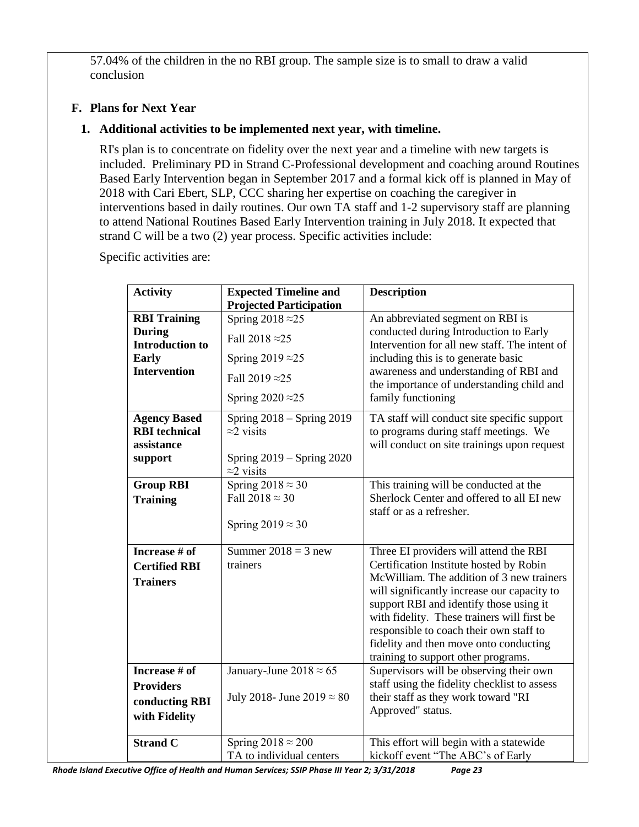57.04% of the children in the no RBI group. The sample size is to small to draw a valid conclusion

## **F. Plans for Next Year**

## **1. Additional activities to be implemented next year, with timeline.**

RI's plan is to concentrate on fidelity over the next year and a timeline with new targets is included. Preliminary PD in Strand C-Professional development and coaching around Routines Based Early Intervention began in September 2017 and a formal kick off is planned in May of 2018 with Cari Ebert, SLP, CCC sharing her expertise on coaching the caregiver in interventions based in daily routines. Our own TA staff and 1-2 supervisory staff are planning to attend National Routines Based Early Intervention training in July 2018. It expected that strand C will be a two (2) year process. Specific activities include:

Specific activities are:

| <b>Activity</b>                                                                                       | <b>Expected Timeline and</b><br><b>Projected Participation</b>                                                                       | <b>Description</b>                                                                                                                                                                                                                                                                                                                                                                                  |
|-------------------------------------------------------------------------------------------------------|--------------------------------------------------------------------------------------------------------------------------------------|-----------------------------------------------------------------------------------------------------------------------------------------------------------------------------------------------------------------------------------------------------------------------------------------------------------------------------------------------------------------------------------------------------|
| <b>RBI Training</b><br><b>During</b><br><b>Introduction to</b><br><b>Early</b><br><b>Intervention</b> | Spring $2018 \approx 25$<br>Fall 2018 $\approx$ 25<br>Spring 2019 $\approx$ 25<br>Fall 2019 $\approx$ 25<br>Spring $2020 \approx 25$ | An abbreviated segment on RBI is<br>conducted during Introduction to Early<br>Intervention for all new staff. The intent of<br>including this is to generate basic<br>awareness and understanding of RBI and<br>the importance of understanding child and<br>family functioning                                                                                                                     |
| <b>Agency Based</b><br><b>RBI</b> technical<br>assistance<br>support                                  | Spring $2018 -$ Spring $2019$<br>$\approx$ 2 visits<br>Spring $2019 -$ Spring $2020$<br>$\approx$ 2 visits                           | TA staff will conduct site specific support<br>to programs during staff meetings. We<br>will conduct on site trainings upon request                                                                                                                                                                                                                                                                 |
| <b>Group RBI</b><br><b>Training</b>                                                                   | Spring $2018 \approx 30$<br>Fall $2018 \approx 30$<br>Spring $2019 \approx 30$                                                       | This training will be conducted at the<br>Sherlock Center and offered to all EI new<br>staff or as a refresher.                                                                                                                                                                                                                                                                                     |
| Increase # of<br><b>Certified RBI</b><br><b>Trainers</b>                                              | Summer $2018 = 3$ new<br>trainers                                                                                                    | Three EI providers will attend the RBI<br>Certification Institute hosted by Robin<br>McWilliam. The addition of 3 new trainers<br>will significantly increase our capacity to<br>support RBI and identify those using it<br>with fidelity. These trainers will first be<br>responsible to coach their own staff to<br>fidelity and then move onto conducting<br>training to support other programs. |
| Increase # of<br><b>Providers</b><br>conducting RBI<br>with Fidelity                                  | January-June $2018 \approx 65$<br>July 2018- June 2019 $\approx 80$                                                                  | Supervisors will be observing their own<br>staff using the fidelity checklist to assess<br>their staff as they work toward "RI<br>Approved" status.                                                                                                                                                                                                                                                 |
| <b>Strand C</b>                                                                                       | Spring $2018 \approx 200$<br>TA to individual centers                                                                                | This effort will begin with a statewide<br>kickoff event "The ABC's of Early                                                                                                                                                                                                                                                                                                                        |

*Rhode Island Executive Office of Health and Human Services; SSIP Phase III Year 2; 3/31/2018 Page 23*